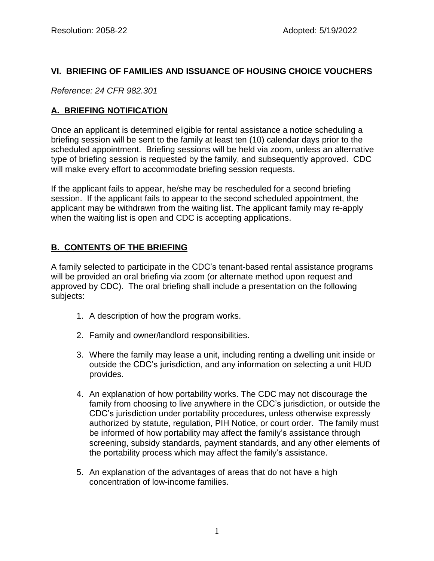## **VI. BRIEFING OF FAMILIES AND ISSUANCE OF HOUSING CHOICE VOUCHERS**

*Reference: 24 CFR 982.301*

## **A. BRIEFING NOTIFICATION**

Once an applicant is determined eligible for rental assistance a notice scheduling a briefing session will be sent to the family at least ten (10) calendar days prior to the scheduled appointment. Briefing sessions will be held via zoom, unless an alternative type of briefing session is requested by the family, and subsequently approved. CDC will make every effort to accommodate briefing session requests.

If the applicant fails to appear, he/she may be rescheduled for a second briefing session. If the applicant fails to appear to the second scheduled appointment, the applicant may be withdrawn from the waiting list. The applicant family may re-apply when the waiting list is open and CDC is accepting applications.

# **B. CONTENTS OF THE BRIEFING**

A family selected to participate in the CDC's tenant-based rental assistance programs will be provided an oral briefing via zoom (or alternate method upon request and approved by CDC). The oral briefing shall include a presentation on the following subjects:

- 1. A description of how the program works.
- 2. Family and owner/landlord responsibilities.
- 3. Where the family may lease a unit, including renting a dwelling unit inside or outside the CDC's jurisdiction, and any information on selecting a unit HUD provides.
- 4. An explanation of how portability works. The CDC may not discourage the family from choosing to live anywhere in the CDC's jurisdiction, or outside the CDC's jurisdiction under portability procedures, unless otherwise expressly authorized by statute, regulation, PIH Notice, or court order. The family must be informed of how portability may affect the family's assistance through screening, subsidy standards, payment standards, and any other elements of the portability process which may affect the family's assistance.
- 5. An explanation of the advantages of areas that do not have a high concentration of low-income families.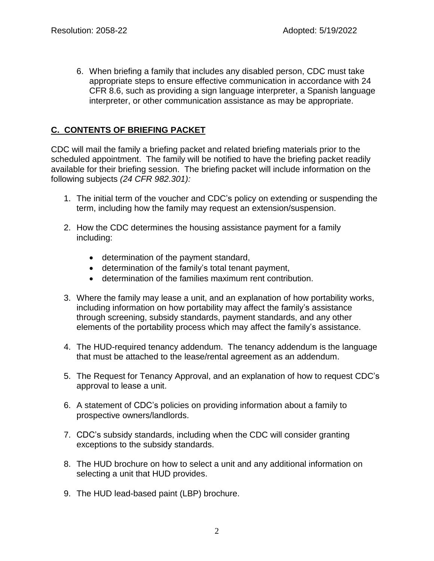6. When briefing a family that includes any disabled person, CDC must take appropriate steps to ensure effective communication in accordance with 24 CFR 8.6, such as providing a sign language interpreter, a Spanish language interpreter, or other communication assistance as may be appropriate.

# **C. CONTENTS OF BRIEFING PACKET**

CDC will mail the family a briefing packet and related briefing materials prior to the scheduled appointment. The family will be notified to have the briefing packet readily available for their briefing session. The briefing packet will include information on the following subjects *(24 CFR 982.301):*

- 1. The initial term of the voucher and CDC's policy on extending or suspending the term, including how the family may request an extension/suspension.
- 2. How the CDC determines the housing assistance payment for a family including:
	- determination of the payment standard,
	- determination of the family's total tenant payment,
	- determination of the families maximum rent contribution.
- 3. Where the family may lease a unit, and an explanation of how portability works, including information on how portability may affect the family's assistance through screening, subsidy standards, payment standards, and any other elements of the portability process which may affect the family's assistance.
- 4. The HUD-required tenancy addendum. The tenancy addendum is the language that must be attached to the lease/rental agreement as an addendum.
- 5. The Request for Tenancy Approval, and an explanation of how to request CDC's approval to lease a unit.
- 6. A statement of CDC's policies on providing information about a family to prospective owners/landlords.
- 7. CDC's subsidy standards, including when the CDC will consider granting exceptions to the subsidy standards.
- 8. The HUD brochure on how to select a unit and any additional information on selecting a unit that HUD provides.
- 9. The HUD lead-based paint (LBP) brochure.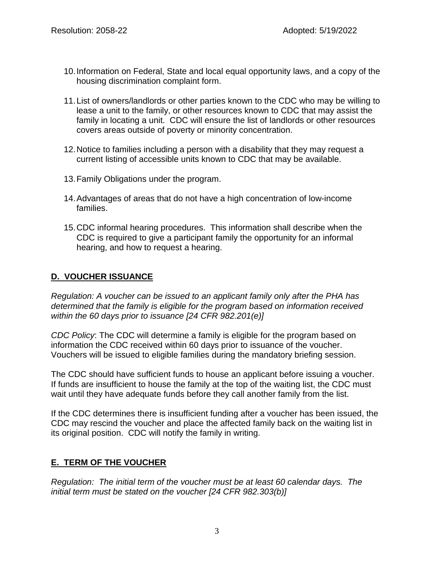- 10.Information on Federal, State and local equal opportunity laws, and a copy of the housing discrimination complaint form.
- 11.List of owners/landlords or other parties known to the CDC who may be willing to lease a unit to the family, or other resources known to CDC that may assist the family in locating a unit. CDC will ensure the list of landlords or other resources covers areas outside of poverty or minority concentration.
- 12.Notice to families including a person with a disability that they may request a current listing of accessible units known to CDC that may be available.
- 13.Family Obligations under the program.
- 14.Advantages of areas that do not have a high concentration of low-income families.
- 15.CDC informal hearing procedures. This information shall describe when the CDC is required to give a participant family the opportunity for an informal hearing, and how to request a hearing.

### **D. VOUCHER ISSUANCE**

*Regulation: A voucher can be issued to an applicant family only after the PHA has determined that the family is eligible for the program based on information received within the 60 days prior to issuance [24 CFR 982.201(e)]* 

*CDC Policy*: The CDC will determine a family is eligible for the program based on information the CDC received within 60 days prior to issuance of the voucher. Vouchers will be issued to eligible families during the mandatory briefing session.

The CDC should have sufficient funds to house an applicant before issuing a voucher. If funds are insufficient to house the family at the top of the waiting list, the CDC must wait until they have adequate funds before they call another family from the list.

If the CDC determines there is insufficient funding after a voucher has been issued, the CDC may rescind the voucher and place the affected family back on the waiting list in its original position. CDC will notify the family in writing.

#### **E. TERM OF THE VOUCHER**

*Regulation: The initial term of the voucher must be at least 60 calendar days. The initial term must be stated on the voucher [24 CFR 982.303(b)]*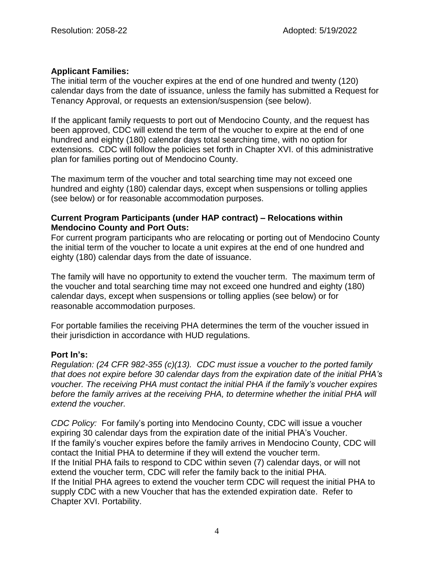### **Applicant Families:**

The initial term of the voucher expires at the end of one hundred and twenty (120) calendar days from the date of issuance, unless the family has submitted a Request for Tenancy Approval, or requests an extension/suspension (see below).

If the applicant family requests to port out of Mendocino County, and the request has been approved, CDC will extend the term of the voucher to expire at the end of one hundred and eighty (180) calendar days total searching time, with no option for extensions. CDC will follow the policies set forth in Chapter XVI. of this administrative plan for families porting out of Mendocino County.

The maximum term of the voucher and total searching time may not exceed one hundred and eighty (180) calendar days, except when suspensions or tolling applies (see below) or for reasonable accommodation purposes.

#### **Current Program Participants (under HAP contract) – Relocations within Mendocino County and Port Outs:**

For current program participants who are relocating or porting out of Mendocino County the initial term of the voucher to locate a unit expires at the end of one hundred and eighty (180) calendar days from the date of issuance.

The family will have no opportunity to extend the voucher term. The maximum term of the voucher and total searching time may not exceed one hundred and eighty (180) calendar days, except when suspensions or tolling applies (see below) or for reasonable accommodation purposes.

For portable families the receiving PHA determines the term of the voucher issued in their jurisdiction in accordance with HUD regulations.

#### **Port In's:**

*Regulation: (24 CFR 982-355 (c)(13). CDC must issue a voucher to the ported family that does not expire before 30 calendar days from the expiration date of the initial PHA's voucher. The receiving PHA must contact the initial PHA if the family's voucher expires before the family arrives at the receiving PHA, to determine whether the initial PHA will extend the voucher.* 

*CDC Policy:* For family's porting into Mendocino County, CDC will issue a voucher expiring 30 calendar days from the expiration date of the initial PHA's Voucher. If the family's voucher expires before the family arrives in Mendocino County, CDC will contact the Initial PHA to determine if they will extend the voucher term. If the Initial PHA fails to respond to CDC within seven (7) calendar days, or will not extend the voucher term, CDC will refer the family back to the initial PHA. If the Initial PHA agrees to extend the voucher term CDC will request the initial PHA to supply CDC with a new Voucher that has the extended expiration date. Refer to Chapter XVI. Portability.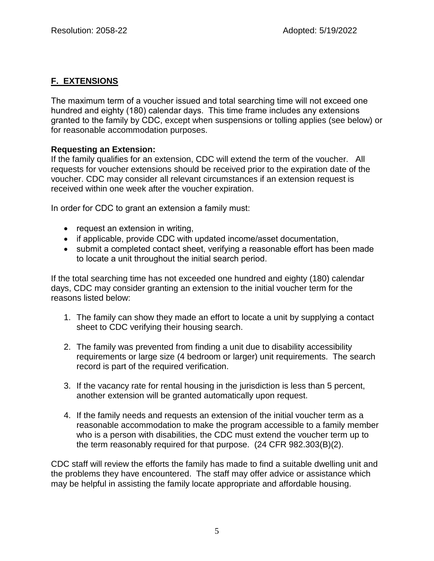# **F. EXTENSIONS**

The maximum term of a voucher issued and total searching time will not exceed one hundred and eighty (180) calendar days. This time frame includes any extensions granted to the family by CDC, except when suspensions or tolling applies (see below) or for reasonable accommodation purposes.

### **Requesting an Extension:**

If the family qualifies for an extension, CDC will extend the term of the voucher. All requests for voucher extensions should be received prior to the expiration date of the voucher. CDC may consider all relevant circumstances if an extension request is received within one week after the voucher expiration.

In order for CDC to grant an extension a family must:

- request an extension in writing,
- if applicable, provide CDC with updated income/asset documentation,
- submit a completed contact sheet, verifying a reasonable effort has been made to locate a unit throughout the initial search period.

If the total searching time has not exceeded one hundred and eighty (180) calendar days, CDC may consider granting an extension to the initial voucher term for the reasons listed below:

- 1. The family can show they made an effort to locate a unit by supplying a contact sheet to CDC verifying their housing search.
- 2. The family was prevented from finding a unit due to disability accessibility requirements or large size (4 bedroom or larger) unit requirements. The search record is part of the required verification.
- 3. If the vacancy rate for rental housing in the jurisdiction is less than 5 percent, another extension will be granted automatically upon request.
- 4. If the family needs and requests an extension of the initial voucher term as a reasonable accommodation to make the program accessible to a family member who is a person with disabilities, the CDC must extend the voucher term up to the term reasonably required for that purpose. (24 CFR 982.303(B)(2).

CDC staff will review the efforts the family has made to find a suitable dwelling unit and the problems they have encountered. The staff may offer advice or assistance which may be helpful in assisting the family locate appropriate and affordable housing.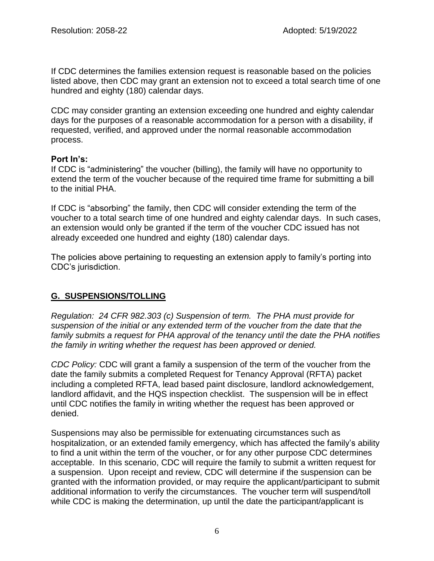If CDC determines the families extension request is reasonable based on the policies listed above, then CDC may grant an extension not to exceed a total search time of one hundred and eighty (180) calendar days.

CDC may consider granting an extension exceeding one hundred and eighty calendar days for the purposes of a reasonable accommodation for a person with a disability, if requested, verified, and approved under the normal reasonable accommodation process.

### **Port In's:**

If CDC is "administering" the voucher (billing), the family will have no opportunity to extend the term of the voucher because of the required time frame for submitting a bill to the initial PHA.

If CDC is "absorbing" the family, then CDC will consider extending the term of the voucher to a total search time of one hundred and eighty calendar days. In such cases, an extension would only be granted if the term of the voucher CDC issued has not already exceeded one hundred and eighty (180) calendar days.

The policies above pertaining to requesting an extension apply to family's porting into CDC's jurisdiction.

# **G. SUSPENSIONS/TOLLING**

*Regulation: 24 CFR 982.303 (c) Suspension of term. The PHA must provide for suspension of the initial or any extended term of the voucher from the date that the family submits a request for PHA approval of the tenancy until the date the PHA notifies the family in writing whether the request has been approved or denied.*

*CDC Policy:* CDC will grant a family a suspension of the term of the voucher from the date the family submits a completed Request for Tenancy Approval (RFTA) packet including a completed RFTA, lead based paint disclosure, landlord acknowledgement, landlord affidavit, and the HQS inspection checklist. The suspension will be in effect until CDC notifies the family in writing whether the request has been approved or denied.

Suspensions may also be permissible for extenuating circumstances such as hospitalization, or an extended family emergency, which has affected the family's ability to find a unit within the term of the voucher, or for any other purpose CDC determines acceptable. In this scenario, CDC will require the family to submit a written request for a suspension. Upon receipt and review, CDC will determine if the suspension can be granted with the information provided, or may require the applicant/participant to submit additional information to verify the circumstances. The voucher term will suspend/toll while CDC is making the determination, up until the date the participant/applicant is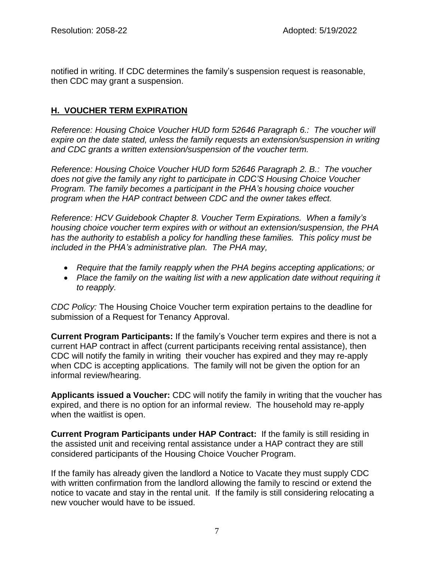notified in writing. If CDC determines the family's suspension request is reasonable, then CDC may grant a suspension.

# **H. VOUCHER TERM EXPIRATION**

*Reference: Housing Choice Voucher HUD form 52646 Paragraph 6.: The voucher will expire on the date stated, unless the family requests an extension/suspension in writing and CDC grants a written extension/suspension of the voucher term.* 

*Reference: Housing Choice Voucher HUD form 52646 Paragraph 2. B.: The voucher does not give the family any right to participate in CDC'S Housing Choice Voucher Program. The family becomes a participant in the PHA's housing choice voucher program when the HAP contract between CDC and the owner takes effect.*

*Reference: HCV Guidebook Chapter 8. Voucher Term Expirations. When a family's housing choice voucher term expires with or without an extension/suspension, the PHA has the authority to establish a policy for handling these families. This policy must be included in the PHA's administrative plan. The PHA may,*

- *Require that the family reapply when the PHA begins accepting applications; or*
- *Place the family on the waiting list with a new application date without requiring it to reapply.*

*CDC Policy:* The Housing Choice Voucher term expiration pertains to the deadline for submission of a Request for Tenancy Approval.

**Current Program Participants:** If the family's Voucher term expires and there is not a current HAP contract in affect (current participants receiving rental assistance), then CDC will notify the family in writing their voucher has expired and they may re-apply when CDC is accepting applications. The family will not be given the option for an informal review/hearing.

**Applicants issued a Voucher:** CDC will notify the family in writing that the voucher has expired, and there is no option for an informal review. The household may re-apply when the waitlist is open.

**Current Program Participants under HAP Contract:** If the family is still residing in the assisted unit and receiving rental assistance under a HAP contract they are still considered participants of the Housing Choice Voucher Program.

If the family has already given the landlord a Notice to Vacate they must supply CDC with written confirmation from the landlord allowing the family to rescind or extend the notice to vacate and stay in the rental unit. If the family is still considering relocating a new voucher would have to be issued.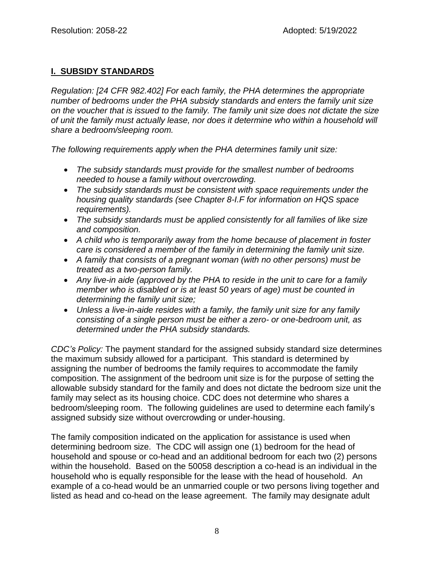## **I. SUBSIDY STANDARDS**

*Regulation: [24 CFR 982.402] For each family, the PHA determines the appropriate number of bedrooms under the PHA subsidy standards and enters the family unit size on the voucher that is issued to the family. The family unit size does not dictate the size of unit the family must actually lease, nor does it determine who within a household will share a bedroom/sleeping room.*

*The following requirements apply when the PHA determines family unit size:*

- *The subsidy standards must provide for the smallest number of bedrooms needed to house a family without overcrowding.*
- *The subsidy standards must be consistent with space requirements under the housing quality standards (see Chapter 8-I.F for information on HQS space requirements).*
- *The subsidy standards must be applied consistently for all families of like size and composition.*
- *A child who is temporarily away from the home because of placement in foster care is considered a member of the family in determining the family unit size.*
- *A family that consists of a pregnant woman (with no other persons) must be treated as a two-person family.*
- *Any live-in aide (approved by the PHA to reside in the unit to care for a family member who is disabled or is at least 50 years of age) must be counted in determining the family unit size;*
- *Unless a live-in-aide resides with a family, the family unit size for any family consisting of a single person must be either a zero- or one-bedroom unit, as determined under the PHA subsidy standards.*

*CDC's Policy:* The payment standard for the assigned subsidy standard size determines the maximum subsidy allowed for a participant. This standard is determined by assigning the number of bedrooms the family requires to accommodate the family composition. The assignment of the bedroom unit size is for the purpose of setting the allowable subsidy standard for the family and does not dictate the bedroom size unit the family may select as its housing choice. CDC does not determine who shares a bedroom/sleeping room. The following guidelines are used to determine each family's assigned subsidy size without overcrowding or under-housing.

The family composition indicated on the application for assistance is used when determining bedroom size. The CDC will assign one (1) bedroom for the head of household and spouse or co-head and an additional bedroom for each two (2) persons within the household. Based on the 50058 description a co-head is an individual in the household who is equally responsible for the lease with the head of household. An example of a co-head would be an unmarried couple or two persons living together and listed as head and co-head on the lease agreement. The family may designate adult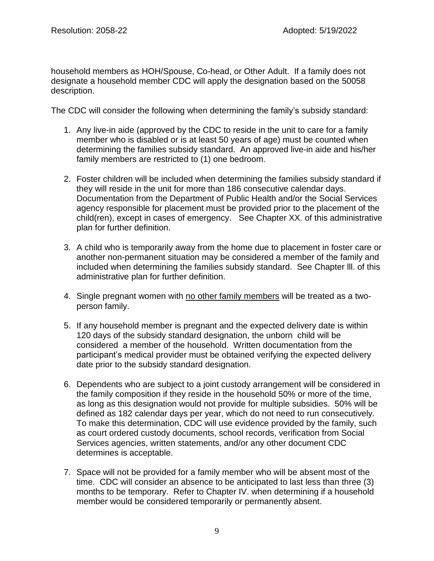household members as HOH/Spouse, Co-head, or Other Adult. If a family does not designate a household member CDC will apply the designation based on the 50058 description.

The CDC will consider the following when determining the family's subsidy standard:

- 1. Any live-in aide (approved by the CDC to reside in the unit to care for a family member who is disabled or is at least 50 years of age) must be counted when determining the families subsidy standard. An approved live-in aide and his/her family members are restricted to (1) one bedroom.
- 2. Foster children will be included when determining the families subsidy standard if they will reside in the unit for more than 186 consecutive calendar days. Documentation from the Department of Public Health and/or the Social Services agency responsible for placement must be provided prior to the placement of the child(ren), except in cases of emergency. See Chapter XX. of this administrative plan for further definition.
- 3. A child who is temporarily away from the home due to placement in foster care or another non-permanent situation may be considered a member of the family and included when determining the families subsidy standard. See Chapter lll. of this administrative plan for further definition.
- 4. Single pregnant women with no other family members will be treated as a twoperson family.
- 5. If any household member is pregnant and the expected delivery date is within 120 days of the subsidy standard designation, the unborn child will be considered a member of the household. Written documentation from the participant's medical provider must be obtained verifying the expected delivery date prior to the subsidy standard designation.
- 6. Dependents who are subject to a joint custody arrangement will be considered in the family composition if they reside in the household 50% or more of the time, as long as this designation would not provide for multiple subsidies. 50% will be defined as 182 calendar days per year, which do not need to run consecutively. To make this determination, CDC will use evidence provided by the family, such as court ordered custody documents, school records, verification from Social Services agencies, written statements, and/or any other document CDC determines is acceptable.
- 7. Space will not be provided for a family member who will be absent most of the time. CDC will consider an absence to be anticipated to last less than three (3) months to be temporary. Refer to Chapter IV. when determining if a household member would be considered temporarily or permanently absent.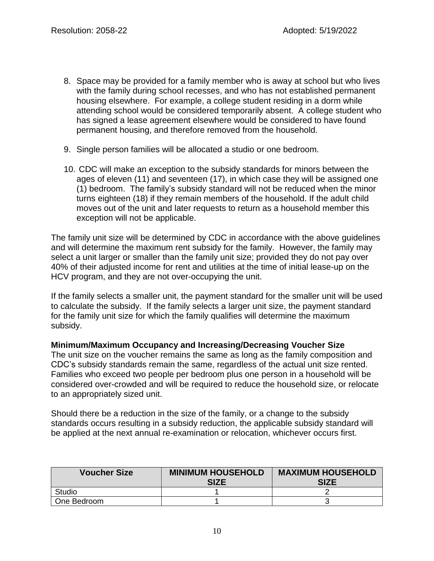- 8. Space may be provided for a family member who is away at school but who lives with the family during school recesses, and who has not established permanent housing elsewhere. For example, a college student residing in a dorm while attending school would be considered temporarily absent. A college student who has signed a lease agreement elsewhere would be considered to have found permanent housing, and therefore removed from the household.
- 9. Single person families will be allocated a studio or one bedroom.
- 10. CDC will make an exception to the subsidy standards for minors between the ages of eleven (11) and seventeen (17), in which case they will be assigned one (1) bedroom. The family's subsidy standard will not be reduced when the minor turns eighteen (18) if they remain members of the household. If the adult child moves out of the unit and later requests to return as a household member this exception will not be applicable.

The family unit size will be determined by CDC in accordance with the above guidelines and will determine the maximum rent subsidy for the family. However, the family may select a unit larger or smaller than the family unit size; provided they do not pay over 40% of their adjusted income for rent and utilities at the time of initial lease-up on the HCV program, and they are not over-occupying the unit.

If the family selects a smaller unit, the payment standard for the smaller unit will be used to calculate the subsidy. If the family selects a larger unit size, the payment standard for the family unit size for which the family qualifies will determine the maximum subsidy.

#### **Minimum/Maximum Occupancy and Increasing/Decreasing Voucher Size**

The unit size on the voucher remains the same as long as the family composition and CDC's subsidy standards remain the same, regardless of the actual unit size rented. Families who exceed two people per bedroom plus one person in a household will be considered over-crowded and will be required to reduce the household size, or relocate to an appropriately sized unit.

Should there be a reduction in the size of the family, or a change to the subsidy standards occurs resulting in a subsidy reduction, the applicable subsidy standard will be applied at the next annual re-examination or relocation, whichever occurs first.

| <b>Voucher Size</b> | <b>MINIMUM HOUSEHOLD</b><br><b>SIZE</b> | <b>MAXIMUM HOUSEHOLD</b><br>SIZE |
|---------------------|-----------------------------------------|----------------------------------|
| Studio              |                                         |                                  |
| One Bedroom         |                                         |                                  |